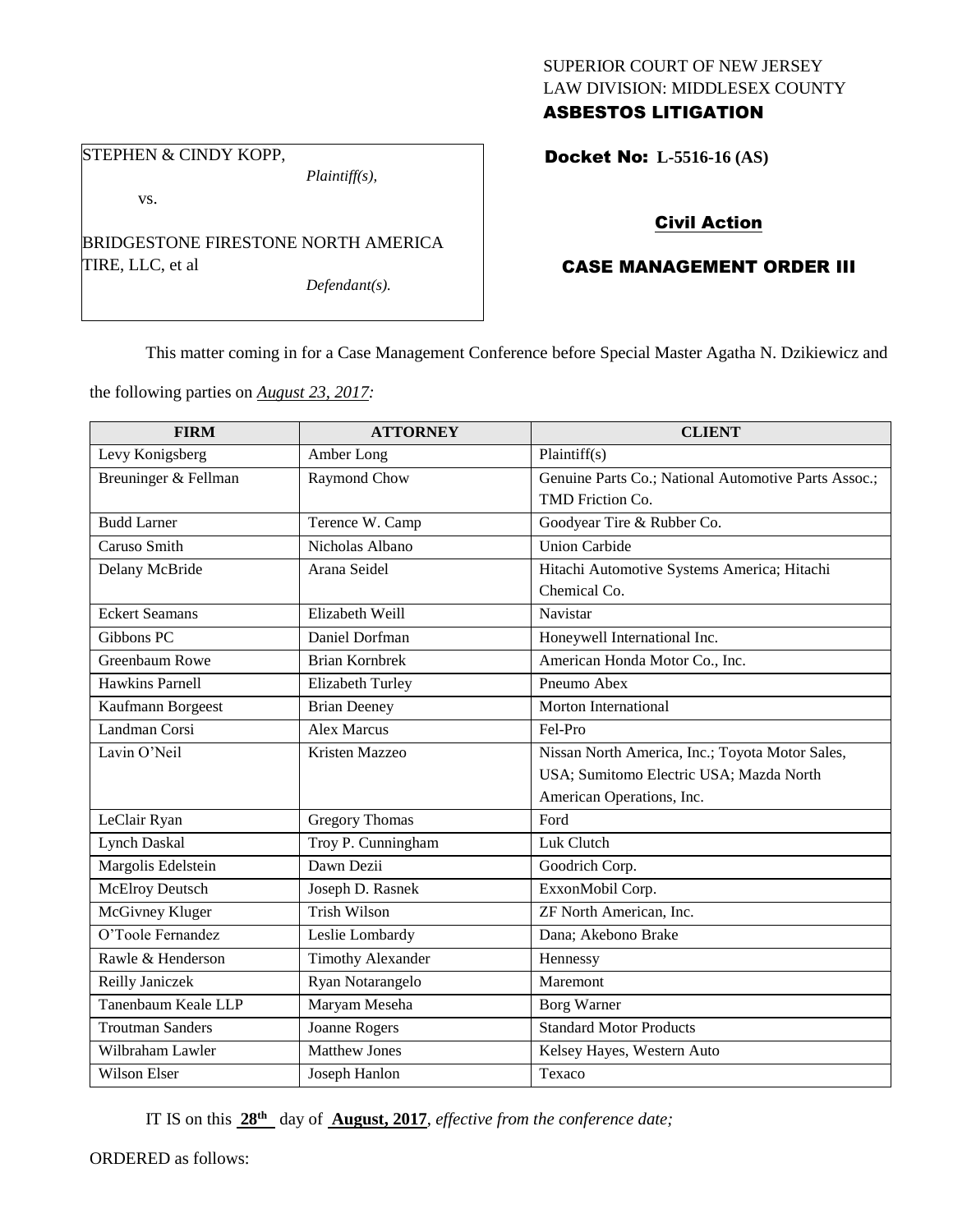### SUPERIOR COURT OF NEW JERSEY LAW DIVISION: MIDDLESEX COUNTY ASBESTOS LITIGATION

# STEPHEN & CINDY KOPP,

*Plaintiff(s),*

vs.

BRIDGESTONE FIRESTONE NORTH AMERICA TIRE, LLC, et al

*Defendant(s).*

Docket No: **L-5516-16 (AS)** 

## Civil Action

## CASE MANAGEMENT ORDER III

This matter coming in for a Case Management Conference before Special Master Agatha N. Dzikiewicz and

the following parties on *August 23, 2017:*

| <b>FIRM</b>             | <b>ATTORNEY</b>          | <b>CLIENT</b>                                        |
|-------------------------|--------------------------|------------------------------------------------------|
| Levy Konigsberg         | Amber Long               | Plaintiff(s)                                         |
| Breuninger & Fellman    | Raymond Chow             | Genuine Parts Co.; National Automotive Parts Assoc.; |
|                         |                          | TMD Friction Co.                                     |
| <b>Budd Larner</b>      | Terence W. Camp          | Goodyear Tire & Rubber Co.                           |
| Caruso Smith            | Nicholas Albano          | Union Carbide                                        |
| Delany McBride          | Arana Seidel             | Hitachi Automotive Systems America; Hitachi          |
|                         |                          | Chemical Co.                                         |
| <b>Eckert Seamans</b>   | Elizabeth Weill          | Navistar                                             |
| Gibbons PC              | Daniel Dorfman           | Honeywell International Inc.                         |
| Greenbaum Rowe          | <b>Brian Kornbrek</b>    | American Honda Motor Co., Inc.                       |
| <b>Hawkins Parnell</b>  | Elizabeth Turley         | Pneumo Abex                                          |
| Kaufmann Borgeest       | <b>Brian Deeney</b>      | <b>Morton International</b>                          |
| Landman Corsi           | <b>Alex Marcus</b>       | Fel-Pro                                              |
| Lavin O'Neil            | Kristen Mazzeo           | Nissan North America, Inc.; Toyota Motor Sales,      |
|                         |                          | USA; Sumitomo Electric USA; Mazda North              |
|                         |                          | American Operations, Inc.                            |
| LeClair Ryan            | <b>Gregory Thomas</b>    | Ford                                                 |
| <b>Lynch Daskal</b>     | Troy P. Cunningham       | Luk Clutch                                           |
| Margolis Edelstein      | Dawn Dezii               | Goodrich Corp.                                       |
| <b>McElroy Deutsch</b>  | Joseph D. Rasnek         | ExxonMobil Corp.                                     |
| McGivney Kluger         | <b>Trish Wilson</b>      | ZF North American, Inc.                              |
| O'Toole Fernandez       | Leslie Lombardy          | Dana; Akebono Brake                                  |
| Rawle & Henderson       | <b>Timothy Alexander</b> | Hennessy                                             |
| Reilly Janiczek         | Ryan Notarangelo         | Maremont                                             |
| Tanenbaum Keale LLP     | Maryam Meseha            | <b>Borg Warner</b>                                   |
| <b>Troutman Sanders</b> | <b>Joanne Rogers</b>     | <b>Standard Motor Products</b>                       |
| Wilbraham Lawler        | <b>Matthew Jones</b>     | Kelsey Hayes, Western Auto                           |
| Wilson Elser            | Joseph Hanlon            | Texaco                                               |

IT IS on this **28th** day of **August, 2017**, *effective from the conference date;*

ORDERED as follows: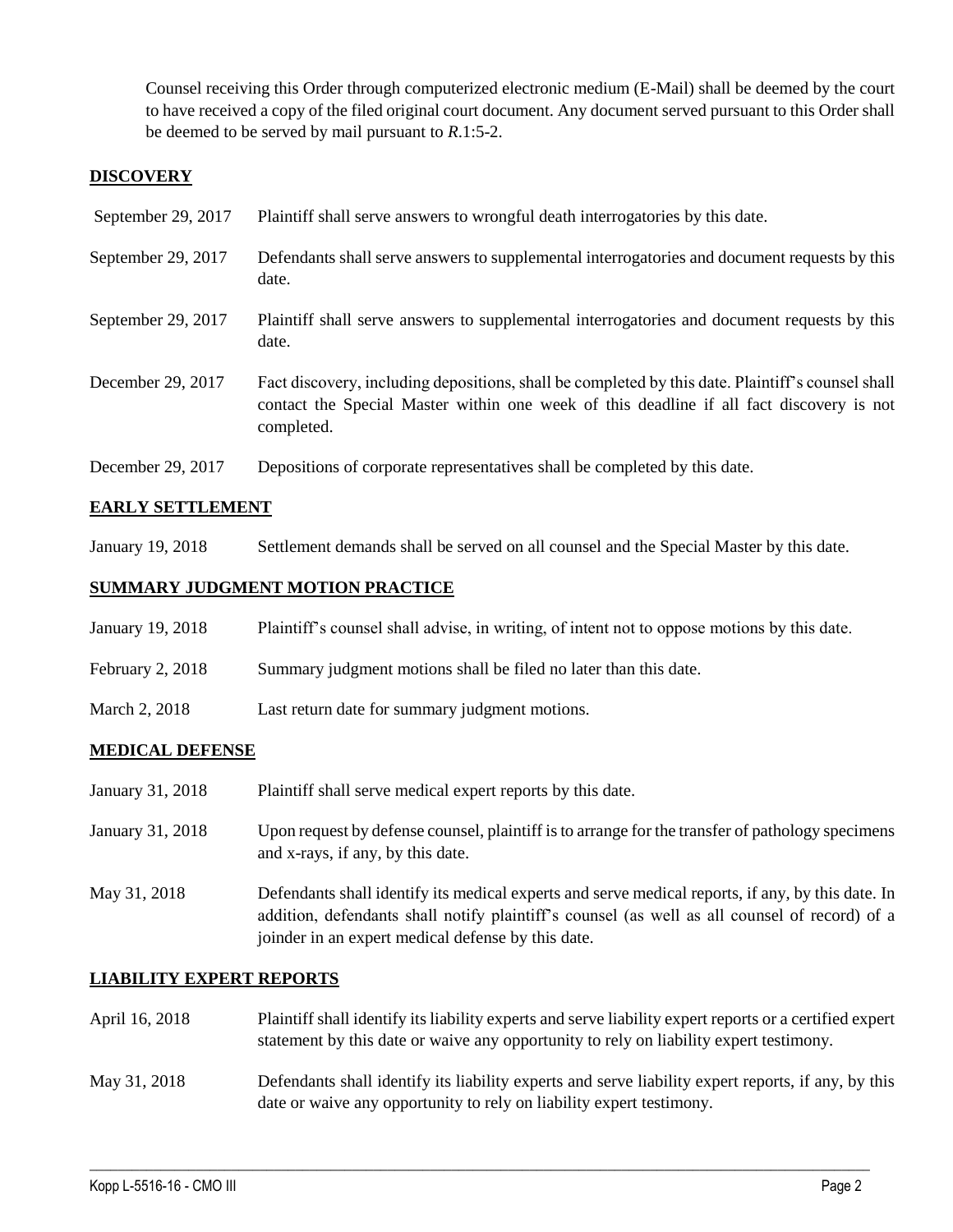Counsel receiving this Order through computerized electronic medium (E-Mail) shall be deemed by the court to have received a copy of the filed original court document. Any document served pursuant to this Order shall be deemed to be served by mail pursuant to *R*.1:5-2.

### **DISCOVERY**

| September 29, 2017 | Plaintiff shall serve answers to wrongful death interrogatories by this date.                                                                                                                               |
|--------------------|-------------------------------------------------------------------------------------------------------------------------------------------------------------------------------------------------------------|
| September 29, 2017 | Defendants shall serve answers to supplemental interrogatories and document requests by this<br>date.                                                                                                       |
| September 29, 2017 | Plaintiff shall serve answers to supplemental interrogatories and document requests by this<br>date.                                                                                                        |
| December 29, 2017  | Fact discovery, including depositions, shall be completed by this date. Plaintiff's counsel shall<br>contact the Special Master within one week of this deadline if all fact discovery is not<br>completed. |
| December 29, 2017  | Depositions of corporate representatives shall be completed by this date.                                                                                                                                   |

#### **EARLY SETTLEMENT**

January 19, 2018 Settlement demands shall be served on all counsel and the Special Master by this date.

### **SUMMARY JUDGMENT MOTION PRACTICE**

| January 19, 2018 | Plaintiff's counsel shall advise, in writing, of intent not to oppose motions by this date. |
|------------------|---------------------------------------------------------------------------------------------|
| February 2, 2018 | Summary judgment motions shall be filed no later than this date.                            |
| March 2, 2018    | Last return date for summary judgment motions.                                              |

#### **MEDICAL DEFENSE**

- January 31, 2018 Plaintiff shall serve medical expert reports by this date.
- January 31, 2018 Upon request by defense counsel, plaintiff is to arrange for the transfer of pathology specimens and x-rays, if any, by this date.
- May 31, 2018 Defendants shall identify its medical experts and serve medical reports, if any, by this date. In addition, defendants shall notify plaintiff's counsel (as well as all counsel of record) of a joinder in an expert medical defense by this date.

#### **LIABILITY EXPERT REPORTS**

April 16, 2018 Plaintiff shall identify its liability experts and serve liability expert reports or a certified expert statement by this date or waive any opportunity to rely on liability expert testimony. May 31, 2018 Defendants shall identify its liability experts and serve liability expert reports, if any, by this

date or waive any opportunity to rely on liability expert testimony.

 $\_$  ,  $\_$  ,  $\_$  ,  $\_$  ,  $\_$  ,  $\_$  ,  $\_$  ,  $\_$  ,  $\_$  ,  $\_$  ,  $\_$  ,  $\_$  ,  $\_$  ,  $\_$  ,  $\_$  ,  $\_$  ,  $\_$  ,  $\_$  ,  $\_$  ,  $\_$  ,  $\_$  ,  $\_$  ,  $\_$  ,  $\_$  ,  $\_$  ,  $\_$  ,  $\_$  ,  $\_$  ,  $\_$  ,  $\_$  ,  $\_$  ,  $\_$  ,  $\_$  ,  $\_$  ,  $\_$  ,  $\_$  ,  $\_$  ,